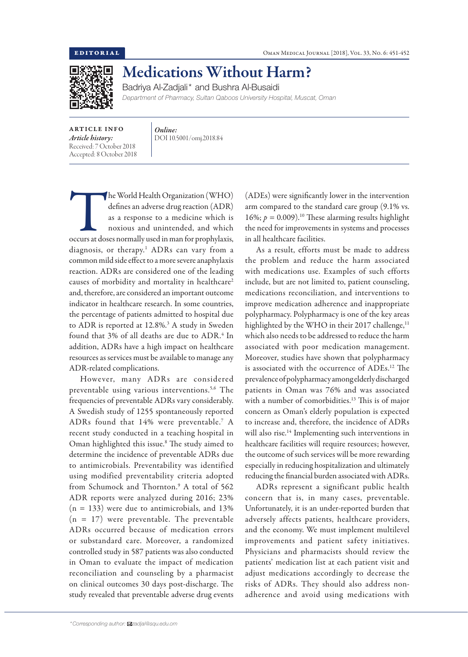

## Medications Without Harm?

Badriya Al-Zadjali\* and Bushra Al-Busaidi

*Department of Pharmacy, Sultan Qaboos University Hospital, Muscat, Oman*

ARTICLE INFO *Article history:* Received: 7 October 2018 Accepted: 8 October 2018 *Online:* DOI 10.5001/omj.2018.84

The World Health Organization (WHO)<br>
of the as a response to a medicine which is<br>
noxious and unintended, and which<br>
occurs at doses normally used in man for prophylaxis, defines an adverse drug reaction (ADR) as a response to a medicine which is noxious and unintended, and which diagnosis, or therapy.1 ADRs can vary from a common mild side effect to a more severe anaphylaxis reaction. ADRs are considered one of the leading causes of morbidity and mortality in healthcare<sup>2</sup> and, therefore, are considered an important outcome indicator in healthcare research. In some countries, the percentage of patients admitted to hospital due to ADR is reported at 12.8%.<sup>3</sup> A study in Sweden found that  $3\%$  of all deaths are due to  $\mathrm{ADR}.\mathrm{^4}$  In addition, ADRs have a high impact on healthcare resources as services must be available to manage any ADR-related complications.

However, many ADRs are considered preventable using various interventions.<sup>5,6</sup> The frequencies of preventable ADRs vary considerably. A Swedish study of 1255 spontaneously reported ADRs found that  $14\%$  were preventable.<sup>7</sup> A recent study conducted in a teaching hospital in Oman highlighted this issue.8 The study aimed to determine the incidence of preventable ADRs due to antimicrobials. Preventability was identified using modified preventability criteria adopted from Schumock and Thornton.9 A total of 562 ADR reports were analyzed during 2016; 23%  $(n = 133)$  were due to antimicrobials, and 13%  $(n = 17)$  were preventable. The preventable ADRs occurred because of medication errors or substandard care. Moreover, a randomized controlled study in 587 patients was also conducted in Oman to evaluate the impact of medication reconciliation and counseling by a pharmacist on clinical outcomes 30 days post-discharge. The study revealed that preventable adverse drug events

(ADEs) were significantly lower in the intervention arm compared to the standard care group (9.1% vs. 16%;  $p = 0.009$ <sup>10</sup> These alarming results highlight the need for improvements in systems and processes in all healthcare facilities.

As a result, efforts must be made to address the problem and reduce the harm associated with medications use. Examples of such efforts include, but are not limited to, patient counseling, medications reconciliation, and interventions to improve medication adherence and inappropriate polypharmacy. Polypharmacy is one of the key areas highlighted by the WHO in their 2017 challenge,<sup>11</sup> which also needs to be addressed to reduce the harm associated with poor medication management. Moreover, studies have shown that polypharmacy is associated with the occurrence of ADEs.12 The prevalence of polypharmacy among elderly discharged patients in Oman was 76% and was associated with a number of comorbidities.<sup>13</sup> This is of major concern as Oman's elderly population is expected to increase and, therefore, the incidence of ADRs will also rise.<sup>14</sup> Implementing such interventions in healthcare facilities will require resources; however, the outcome of such services will be more rewarding especially in reducing hospitalization and ultimately reducing the financial burden associated with ADRs.

ADRs represent a significant public health concern that is, in many cases, preventable. Unfortunately, it is an under-reported burden that adversely affects patients, healthcare providers, and the economy. We must implement multilevel improvements and patient safety initiatives. Physicians and pharmacists should review the patients' medication list at each patient visit and adjust medications accordingly to decrease the risks of ADRs. They should also address nonadherence and avoid using medications with